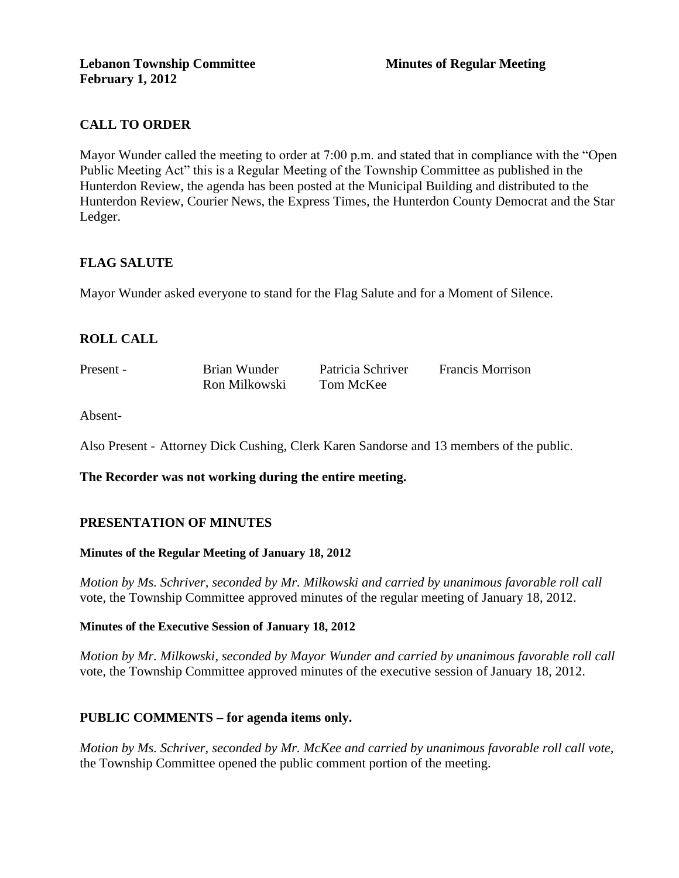# **CALL TO ORDER**

Mayor Wunder called the meeting to order at 7:00 p.m. and stated that in compliance with the "Open Public Meeting Act" this is a Regular Meeting of the Township Committee as published in the Hunterdon Review, the agenda has been posted at the Municipal Building and distributed to the Hunterdon Review, Courier News, the Express Times, the Hunterdon County Democrat and the Star Ledger.

## **FLAG SALUTE**

Mayor Wunder asked everyone to stand for the Flag Salute and for a Moment of Silence.

# **ROLL CALL**

| Present - | Brian Wunder  | Patricia Schriver | <b>Francis Morrison</b> |
|-----------|---------------|-------------------|-------------------------|
|           | Ron Milkowski | Tom McKee         |                         |

Absent-

Also Present - Attorney Dick Cushing, Clerk Karen Sandorse and 13 members of the public.

**The Recorder was not working during the entire meeting.** 

### **PRESENTATION OF MINUTES**

#### **Minutes of the Regular Meeting of January 18, 2012**

*Motion by Ms. Schriver, seconded by Mr. Milkowski and carried by unanimous favorable roll call*  vote, the Township Committee approved minutes of the regular meeting of January 18, 2012.

#### **Minutes of the Executive Session of January 18, 2012**

*Motion by Mr. Milkowski, seconded by Mayor Wunder and carried by unanimous favorable roll call*  vote, the Township Committee approved minutes of the executive session of January 18, 2012.

### **PUBLIC COMMENTS – for agenda items only.**

*Motion by Ms. Schriver, seconded by Mr. McKee and carried by unanimous favorable roll call vote,* the Township Committee opened the public comment portion of the meeting.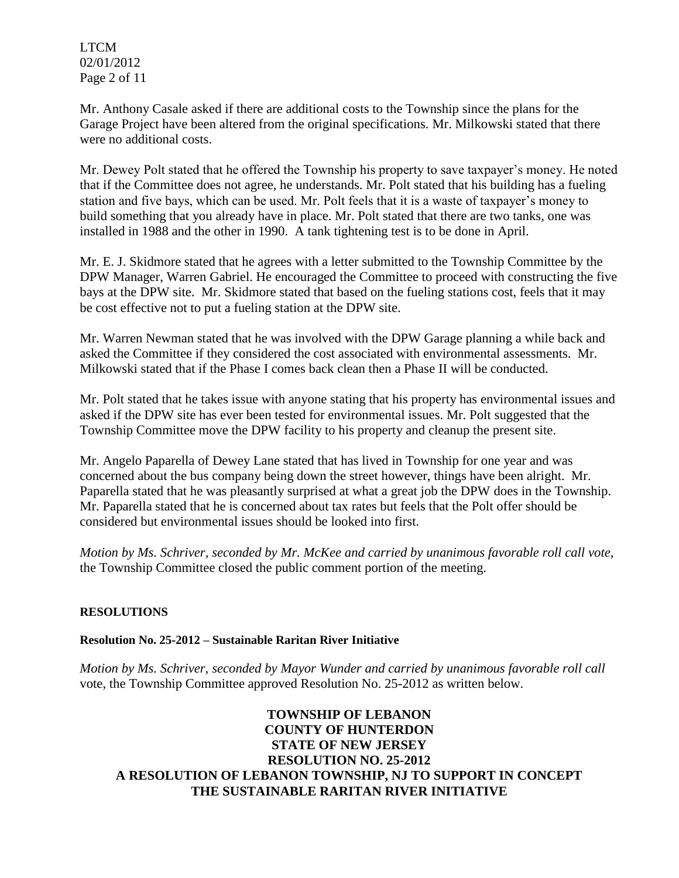LTCM 02/01/2012 Page 2 of 11

Mr. Anthony Casale asked if there are additional costs to the Township since the plans for the Garage Project have been altered from the original specifications. Mr. Milkowski stated that there were no additional costs.

Mr. Dewey Polt stated that he offered the Township his property to save taxpayer's money. He noted that if the Committee does not agree, he understands. Mr. Polt stated that his building has a fueling station and five bays, which can be used. Mr. Polt feels that it is a waste of taxpayer's money to build something that you already have in place. Mr. Polt stated that there are two tanks, one was installed in 1988 and the other in 1990. A tank tightening test is to be done in April.

Mr. E. J. Skidmore stated that he agrees with a letter submitted to the Township Committee by the DPW Manager, Warren Gabriel. He encouraged the Committee to proceed with constructing the five bays at the DPW site. Mr. Skidmore stated that based on the fueling stations cost, feels that it may be cost effective not to put a fueling station at the DPW site.

Mr. Warren Newman stated that he was involved with the DPW Garage planning a while back and asked the Committee if they considered the cost associated with environmental assessments. Mr. Milkowski stated that if the Phase I comes back clean then a Phase II will be conducted.

Mr. Polt stated that he takes issue with anyone stating that his property has environmental issues and asked if the DPW site has ever been tested for environmental issues. Mr. Polt suggested that the Township Committee move the DPW facility to his property and cleanup the present site.

Mr. Angelo Paparella of Dewey Lane stated that has lived in Township for one year and was concerned about the bus company being down the street however, things have been alright. Mr. Paparella stated that he was pleasantly surprised at what a great job the DPW does in the Township. Mr. Paparella stated that he is concerned about tax rates but feels that the Polt offer should be considered but environmental issues should be looked into first.

*Motion by Ms. Schriver, seconded by Mr. McKee and carried by unanimous favorable roll call vote*, the Township Committee closed the public comment portion of the meeting.

# **RESOLUTIONS**

**Resolution No. 25-2012 – Sustainable Raritan River Initiative**

*Motion by Ms. Schriver, seconded by Mayor Wunder and carried by unanimous favorable roll call*  vote, the Township Committee approved Resolution No. 25-2012 as written below.

## **TOWNSHIP OF LEBANON COUNTY OF HUNTERDON STATE OF NEW JERSEY RESOLUTION NO. 25-2012 A RESOLUTION OF LEBANON TOWNSHIP, NJ TO SUPPORT IN CONCEPT THE SUSTAINABLE RARITAN RIVER INITIATIVE**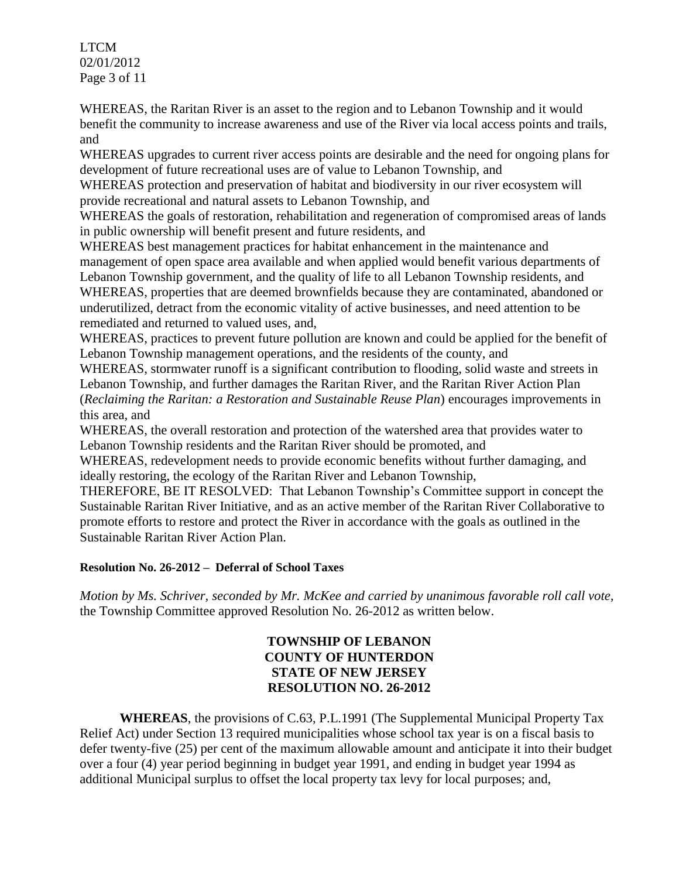LTCM 02/01/2012 Page 3 of 11

WHEREAS, the Raritan River is an asset to the region and to Lebanon Township and it would benefit the community to increase awareness and use of the River via local access points and trails, and

WHEREAS upgrades to current river access points are desirable and the need for ongoing plans for development of future recreational uses are of value to Lebanon Township, and

WHEREAS protection and preservation of habitat and biodiversity in our river ecosystem will provide recreational and natural assets to Lebanon Township, and

WHEREAS the goals of restoration, rehabilitation and regeneration of compromised areas of lands in public ownership will benefit present and future residents, and

WHEREAS best management practices for habitat enhancement in the maintenance and management of open space area available and when applied would benefit various departments of Lebanon Township government, and the quality of life to all Lebanon Township residents, and WHEREAS, properties that are deemed brownfields because they are contaminated, abandoned or underutilized, detract from the economic vitality of active businesses, and need attention to be remediated and returned to valued uses, and,

WHEREAS, practices to prevent future pollution are known and could be applied for the benefit of Lebanon Township management operations, and the residents of the county, and

WHEREAS, stormwater runoff is a significant contribution to flooding, solid waste and streets in Lebanon Township, and further damages the Raritan River, and the Raritan River Action Plan (*Reclaiming the Raritan: a Restoration and Sustainable Reuse Plan*) encourages improvements in this area, and

WHEREAS, the overall restoration and protection of the watershed area that provides water to Lebanon Township residents and the Raritan River should be promoted, and

WHEREAS, redevelopment needs to provide economic benefits without further damaging, and ideally restoring, the ecology of the Raritan River and Lebanon Township,

THEREFORE, BE IT RESOLVED: That Lebanon Township's Committee support in concept the Sustainable Raritan River Initiative, and as an active member of the Raritan River Collaborative to promote efforts to restore and protect the River in accordance with the goals as outlined in the Sustainable Raritan River Action Plan.

# **Resolution No. 26-2012 – Deferral of School Taxes**

*Motion by Ms. Schriver, seconded by Mr. McKee and carried by unanimous favorable roll call vote,* the Township Committee approved Resolution No. 26-2012 as written below.

# **TOWNSHIP OF LEBANON COUNTY OF HUNTERDON STATE OF NEW JERSEY RESOLUTION NO. 26-2012**

**WHEREAS**, the provisions of C.63, P.L.1991 (The Supplemental Municipal Property Tax Relief Act) under Section 13 required municipalities whose school tax year is on a fiscal basis to defer twenty-five (25) per cent of the maximum allowable amount and anticipate it into their budget over a four (4) year period beginning in budget year 1991, and ending in budget year 1994 as additional Municipal surplus to offset the local property tax levy for local purposes; and,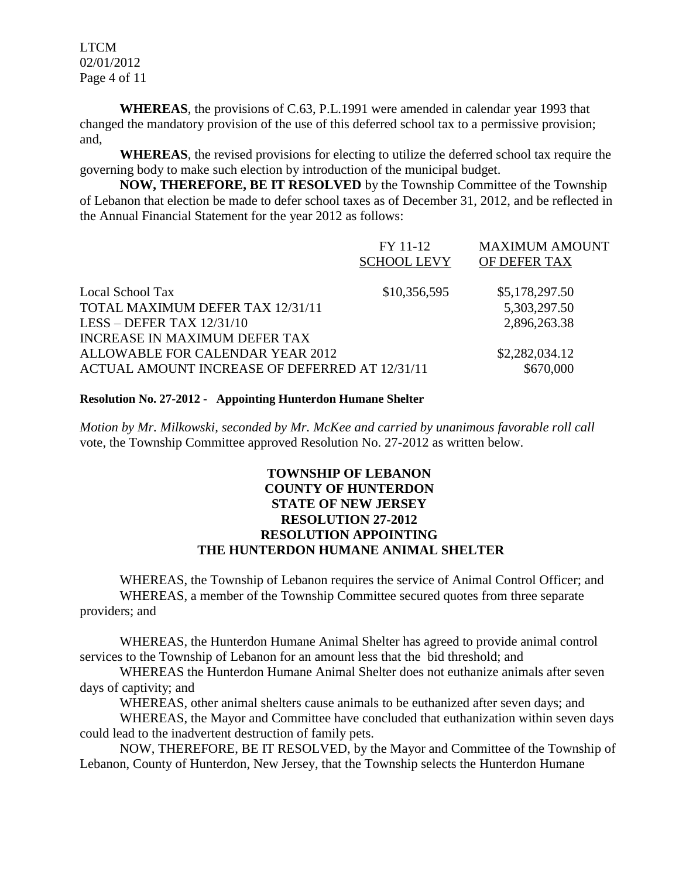LTCM 02/01/2012 Page 4 of 11

**WHEREAS**, the provisions of C.63, P.L.1991 were amended in calendar year 1993 that changed the mandatory provision of the use of this deferred school tax to a permissive provision; and,

**WHEREAS**, the revised provisions for electing to utilize the deferred school tax require the governing body to make such election by introduction of the municipal budget.

**NOW, THEREFORE, BE IT RESOLVED** by the Township Committee of the Township of Lebanon that election be made to defer school taxes as of December 31, 2012, and be reflected in the Annual Financial Statement for the year 2012 as follows:

|                                                | FY 11-12<br><b>SCHOOL LEVY</b> | <b>MAXIMUM AMOUNT</b><br>OF DEFER TAX |
|------------------------------------------------|--------------------------------|---------------------------------------|
| Local School Tax                               | \$10,356,595                   | \$5,178,297.50                        |
| TOTAL MAXIMUM DEFER TAX 12/31/11               |                                | 5,303,297.50                          |
| LESS – DEFER TAX $12/31/10$                    |                                | 2,896,263.38                          |
| INCREASE IN MAXIMUM DEFER TAX                  |                                |                                       |
| ALLOWABLE FOR CALENDAR YEAR 2012               |                                | \$2,282,034.12                        |
| ACTUAL AMOUNT INCREASE OF DEFERRED AT 12/31/11 |                                | \$670,000                             |

#### **Resolution No. 27-2012 - Appointing Hunterdon Humane Shelter**

*Motion by Mr. Milkowski, seconded by Mr. McKee and carried by unanimous favorable roll call*  vote, the Township Committee approved Resolution No. 27-2012 as written below.

# **TOWNSHIP OF LEBANON COUNTY OF HUNTERDON STATE OF NEW JERSEY RESOLUTION 27-2012 RESOLUTION APPOINTING THE HUNTERDON HUMANE ANIMAL SHELTER**

WHEREAS, the Township of Lebanon requires the service of Animal Control Officer; and WHEREAS, a member of the Township Committee secured quotes from three separate providers; and

WHEREAS, the Hunterdon Humane Animal Shelter has agreed to provide animal control services to the Township of Lebanon for an amount less that the bid threshold; and

WHEREAS the Hunterdon Humane Animal Shelter does not euthanize animals after seven days of captivity; and

WHEREAS, other animal shelters cause animals to be euthanized after seven days; and

WHEREAS, the Mayor and Committee have concluded that euthanization within seven days could lead to the inadvertent destruction of family pets.

NOW, THEREFORE, BE IT RESOLVED, by the Mayor and Committee of the Township of Lebanon, County of Hunterdon, New Jersey, that the Township selects the Hunterdon Humane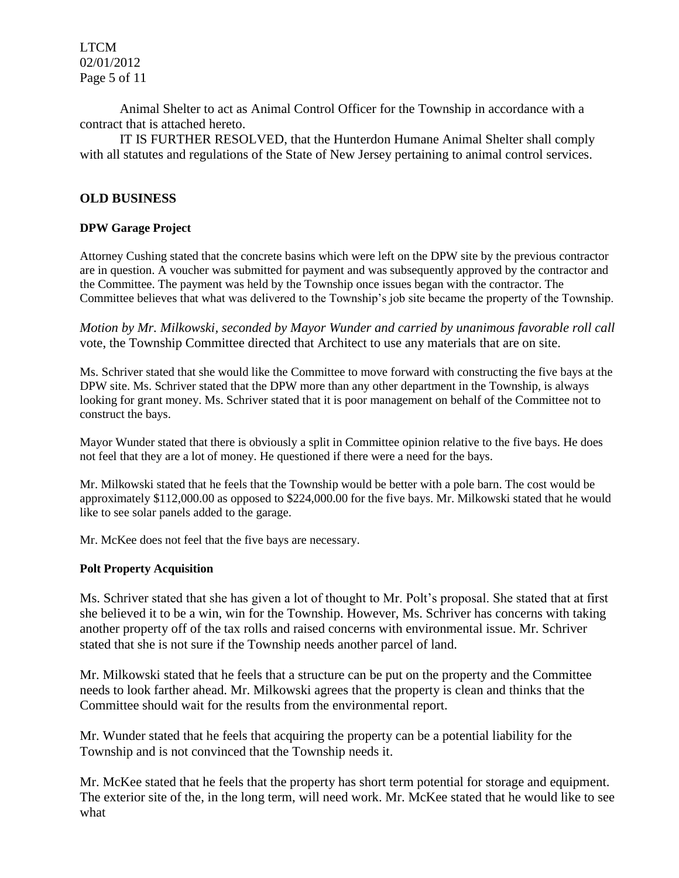LTCM 02/01/2012 Page 5 of 11

Animal Shelter to act as Animal Control Officer for the Township in accordance with a contract that is attached hereto.

IT IS FURTHER RESOLVED, that the Hunterdon Humane Animal Shelter shall comply with all statutes and regulations of the State of New Jersey pertaining to animal control services.

## **OLD BUSINESS**

#### **DPW Garage Project**

Attorney Cushing stated that the concrete basins which were left on the DPW site by the previous contractor are in question. A voucher was submitted for payment and was subsequently approved by the contractor and the Committee. The payment was held by the Township once issues began with the contractor. The Committee believes that what was delivered to the Township's job site became the property of the Township.

*Motion by Mr. Milkowski, seconded by Mayor Wunder and carried by unanimous favorable roll call*  vote, the Township Committee directed that Architect to use any materials that are on site.

Ms. Schriver stated that she would like the Committee to move forward with constructing the five bays at the DPW site. Ms. Schriver stated that the DPW more than any other department in the Township, is always looking for grant money. Ms. Schriver stated that it is poor management on behalf of the Committee not to construct the bays.

Mayor Wunder stated that there is obviously a split in Committee opinion relative to the five bays. He does not feel that they are a lot of money. He questioned if there were a need for the bays.

Mr. Milkowski stated that he feels that the Township would be better with a pole barn. The cost would be approximately \$112,000.00 as opposed to \$224,000.00 for the five bays. Mr. Milkowski stated that he would like to see solar panels added to the garage.

Mr. McKee does not feel that the five bays are necessary.

#### **Polt Property Acquisition**

Ms. Schriver stated that she has given a lot of thought to Mr. Polt's proposal. She stated that at first she believed it to be a win, win for the Township. However, Ms. Schriver has concerns with taking another property off of the tax rolls and raised concerns with environmental issue. Mr. Schriver stated that she is not sure if the Township needs another parcel of land.

Mr. Milkowski stated that he feels that a structure can be put on the property and the Committee needs to look farther ahead. Mr. Milkowski agrees that the property is clean and thinks that the Committee should wait for the results from the environmental report.

Mr. Wunder stated that he feels that acquiring the property can be a potential liability for the Township and is not convinced that the Township needs it.

Mr. McKee stated that he feels that the property has short term potential for storage and equipment. The exterior site of the, in the long term, will need work. Mr. McKee stated that he would like to see what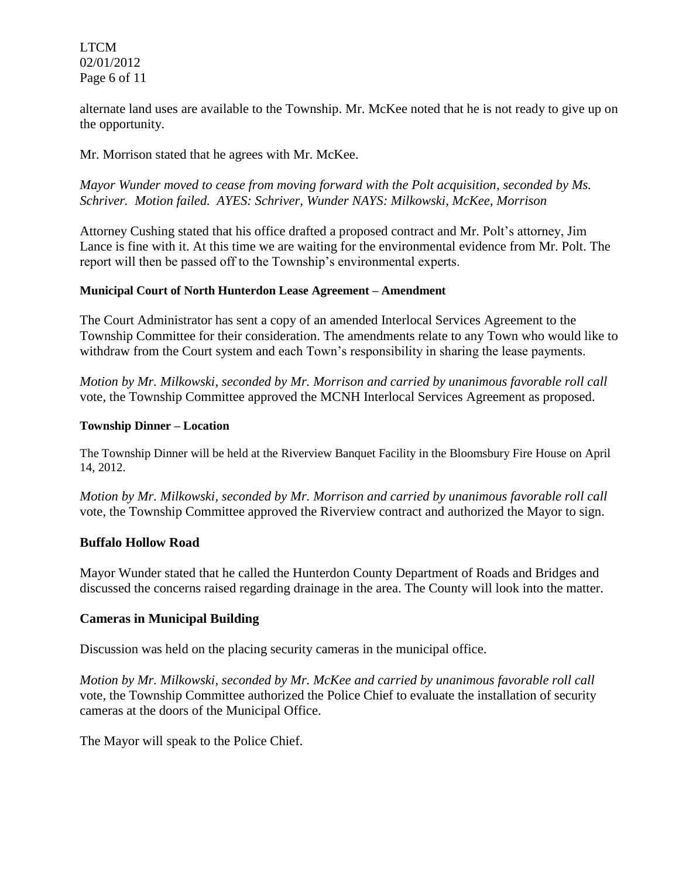LTCM 02/01/2012 Page 6 of 11

alternate land uses are available to the Township. Mr. McKee noted that he is not ready to give up on the opportunity.

Mr. Morrison stated that he agrees with Mr. McKee.

*Mayor Wunder moved to cease from moving forward with the Polt acquisition, seconded by Ms. Schriver. Motion failed. AYES: Schriver, Wunder NAYS: Milkowski, McKee, Morrison*

Attorney Cushing stated that his office drafted a proposed contract and Mr. Polt's attorney, Jim Lance is fine with it. At this time we are waiting for the environmental evidence from Mr. Polt. The report will then be passed off to the Township's environmental experts.

### **Municipal Court of North Hunterdon Lease Agreement – Amendment**

The Court Administrator has sent a copy of an amended Interlocal Services Agreement to the Township Committee for their consideration. The amendments relate to any Town who would like to withdraw from the Court system and each Town's responsibility in sharing the lease payments.

*Motion by Mr. Milkowski, seconded by Mr. Morrison and carried by unanimous favorable roll call*  vote, the Township Committee approved the MCNH Interlocal Services Agreement as proposed.

#### **Township Dinner – Location**

The Township Dinner will be held at the Riverview Banquet Facility in the Bloomsbury Fire House on April 14, 2012.

*Motion by Mr. Milkowski, seconded by Mr. Morrison and carried by unanimous favorable roll call*  vote, the Township Committee approved the Riverview contract and authorized the Mayor to sign.

### **Buffalo Hollow Road**

Mayor Wunder stated that he called the Hunterdon County Department of Roads and Bridges and discussed the concerns raised regarding drainage in the area. The County will look into the matter.

### **Cameras in Municipal Building**

Discussion was held on the placing security cameras in the municipal office.

*Motion by Mr. Milkowski, seconded by Mr. McKee and carried by unanimous favorable roll call*  vote, the Township Committee authorized the Police Chief to evaluate the installation of security cameras at the doors of the Municipal Office.

The Mayor will speak to the Police Chief.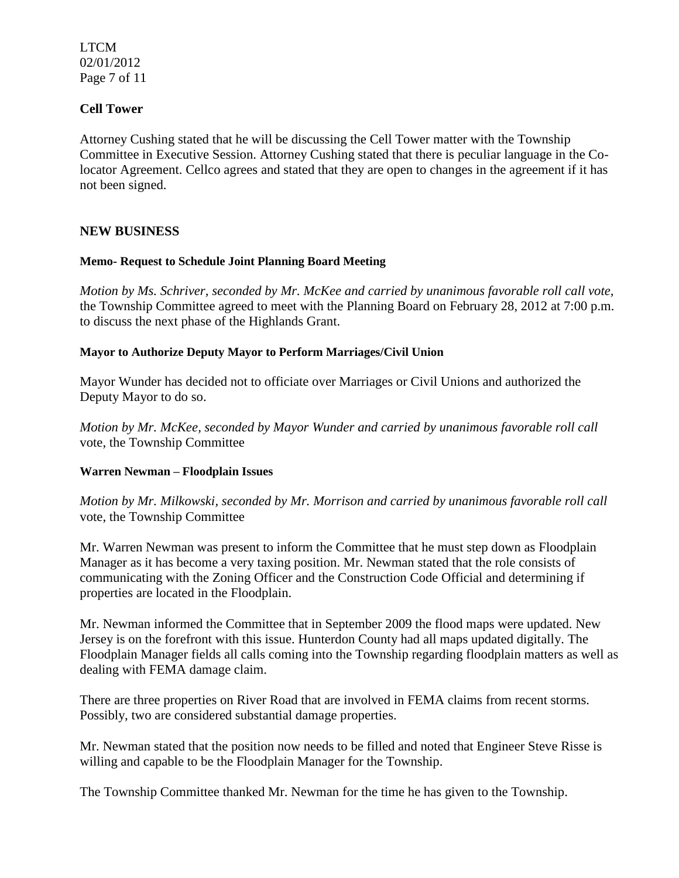LTCM 02/01/2012 Page 7 of 11

## **Cell Tower**

Attorney Cushing stated that he will be discussing the Cell Tower matter with the Township Committee in Executive Session. Attorney Cushing stated that there is peculiar language in the Colocator Agreement. Cellco agrees and stated that they are open to changes in the agreement if it has not been signed.

### **NEW BUSINESS**

#### **Memo- Request to Schedule Joint Planning Board Meeting**

*Motion by Ms. Schriver, seconded by Mr. McKee and carried by unanimous favorable roll call vote,* the Township Committee agreed to meet with the Planning Board on February 28, 2012 at 7:00 p.m. to discuss the next phase of the Highlands Grant.

#### **Mayor to Authorize Deputy Mayor to Perform Marriages/Civil Union**

Mayor Wunder has decided not to officiate over Marriages or Civil Unions and authorized the Deputy Mayor to do so.

*Motion by Mr. McKee, seconded by Mayor Wunder and carried by unanimous favorable roll call*  vote, the Township Committee

### **Warren Newman – Floodplain Issues**

*Motion by Mr. Milkowski, seconded by Mr. Morrison and carried by unanimous favorable roll call*  vote, the Township Committee

Mr. Warren Newman was present to inform the Committee that he must step down as Floodplain Manager as it has become a very taxing position. Mr. Newman stated that the role consists of communicating with the Zoning Officer and the Construction Code Official and determining if properties are located in the Floodplain.

Mr. Newman informed the Committee that in September 2009 the flood maps were updated. New Jersey is on the forefront with this issue. Hunterdon County had all maps updated digitally. The Floodplain Manager fields all calls coming into the Township regarding floodplain matters as well as dealing with FEMA damage claim.

There are three properties on River Road that are involved in FEMA claims from recent storms. Possibly, two are considered substantial damage properties.

Mr. Newman stated that the position now needs to be filled and noted that Engineer Steve Risse is willing and capable to be the Floodplain Manager for the Township.

The Township Committee thanked Mr. Newman for the time he has given to the Township.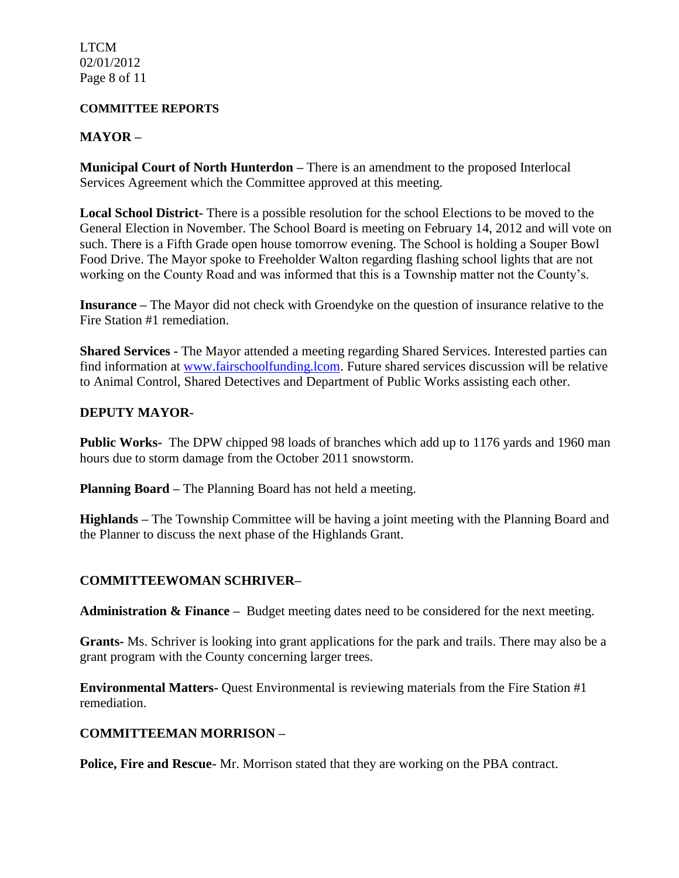LTCM 02/01/2012 Page 8 of 11

#### **COMMITTEE REPORTS**

## **MAYOR –**

**Municipal Court of North Hunterdon –** There is an amendment to the proposed Interlocal Services Agreement which the Committee approved at this meeting.

**Local School District-** There is a possible resolution for the school Elections to be moved to the General Election in November. The School Board is meeting on February 14, 2012 and will vote on such. There is a Fifth Grade open house tomorrow evening. The School is holding a Souper Bowl Food Drive. The Mayor spoke to Freeholder Walton regarding flashing school lights that are not working on the County Road and was informed that this is a Township matter not the County's.

**Insurance –** The Mayor did not check with Groendyke on the question of insurance relative to the Fire Station #1 remediation.

**Shared Services -** The Mayor attended a meeting regarding Shared Services. Interested parties can find information at [www.fairschoolfunding.lcom.](http://www.fairschoolfunding.lcom/) Future shared services discussion will be relative to Animal Control, Shared Detectives and Department of Public Works assisting each other.

## **DEPUTY MAYOR-**

**Public Works-** The DPW chipped 98 loads of branches which add up to 1176 yards and 1960 man hours due to storm damage from the October 2011 snowstorm.

**Planning Board –** The Planning Board has not held a meeting.

**Highlands –** The Township Committee will be having a joint meeting with the Planning Board and the Planner to discuss the next phase of the Highlands Grant.

# **COMMITTEEWOMAN SCHRIVER–**

**Administration & Finance –** Budget meeting dates need to be considered for the next meeting.

**Grants-** Ms. Schriver is looking into grant applications for the park and trails. There may also be a grant program with the County concerning larger trees.

**Environmental Matters-** Quest Environmental is reviewing materials from the Fire Station #1 remediation.

# **COMMITTEEMAN MORRISON –**

**Police, Fire and Rescue-** Mr. Morrison stated that they are working on the PBA contract.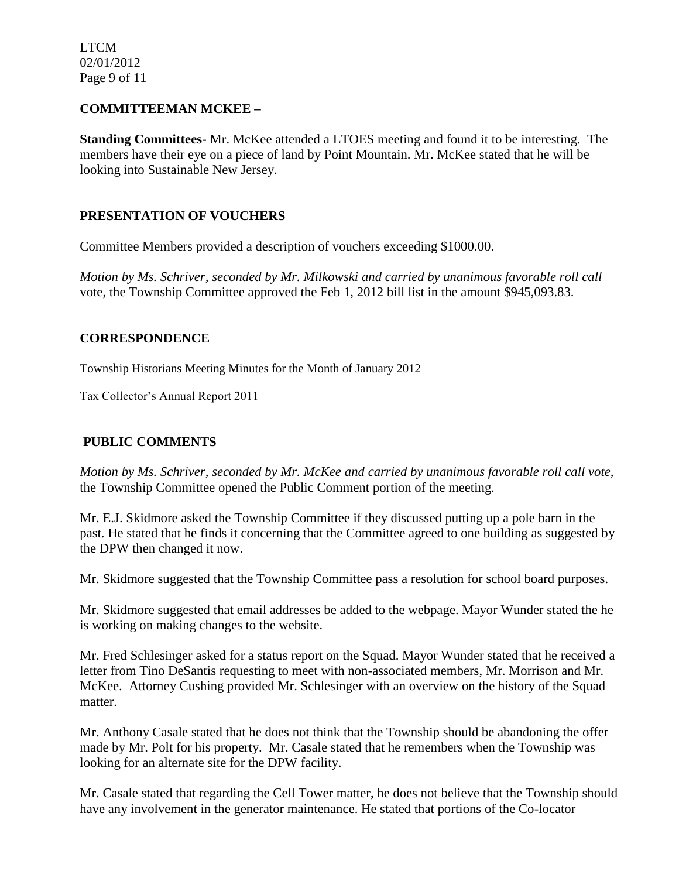LTCM 02/01/2012 Page 9 of 11

## **COMMITTEEMAN MCKEE –**

**Standing Committees-** Mr. McKee attended a LTOES meeting and found it to be interesting. The members have their eye on a piece of land by Point Mountain. Mr. McKee stated that he will be looking into Sustainable New Jersey.

## **PRESENTATION OF VOUCHERS**

Committee Members provided a description of vouchers exceeding \$1000.00.

*Motion by Ms. Schriver, seconded by Mr. Milkowski and carried by unanimous favorable roll call*  vote, the Township Committee approved the Feb 1, 2012 bill list in the amount \$945,093.83.

## **CORRESPONDENCE**

Township Historians Meeting Minutes for the Month of January 2012

Tax Collector's Annual Report 2011

# **PUBLIC COMMENTS**

*Motion by Ms. Schriver, seconded by Mr. McKee and carried by unanimous favorable roll call vote,* the Township Committee opened the Public Comment portion of the meeting.

Mr. E.J. Skidmore asked the Township Committee if they discussed putting up a pole barn in the past. He stated that he finds it concerning that the Committee agreed to one building as suggested by the DPW then changed it now.

Mr. Skidmore suggested that the Township Committee pass a resolution for school board purposes.

Mr. Skidmore suggested that email addresses be added to the webpage. Mayor Wunder stated the he is working on making changes to the website.

Mr. Fred Schlesinger asked for a status report on the Squad. Mayor Wunder stated that he received a letter from Tino DeSantis requesting to meet with non-associated members, Mr. Morrison and Mr. McKee. Attorney Cushing provided Mr. Schlesinger with an overview on the history of the Squad matter.

Mr. Anthony Casale stated that he does not think that the Township should be abandoning the offer made by Mr. Polt for his property. Mr. Casale stated that he remembers when the Township was looking for an alternate site for the DPW facility.

Mr. Casale stated that regarding the Cell Tower matter, he does not believe that the Township should have any involvement in the generator maintenance. He stated that portions of the Co-locator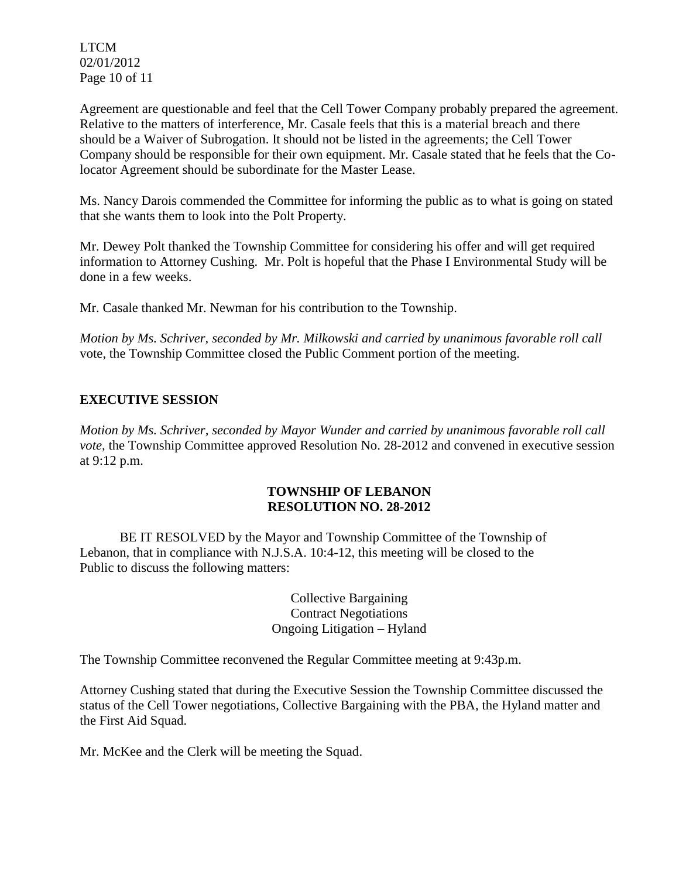LTCM 02/01/2012 Page 10 of 11

Agreement are questionable and feel that the Cell Tower Company probably prepared the agreement. Relative to the matters of interference, Mr. Casale feels that this is a material breach and there should be a Waiver of Subrogation. It should not be listed in the agreements; the Cell Tower Company should be responsible for their own equipment. Mr. Casale stated that he feels that the Colocator Agreement should be subordinate for the Master Lease.

Ms. Nancy Darois commended the Committee for informing the public as to what is going on stated that she wants them to look into the Polt Property.

Mr. Dewey Polt thanked the Township Committee for considering his offer and will get required information to Attorney Cushing. Mr. Polt is hopeful that the Phase I Environmental Study will be done in a few weeks.

Mr. Casale thanked Mr. Newman for his contribution to the Township.

*Motion by Ms. Schriver, seconded by Mr. Milkowski and carried by unanimous favorable roll call*  vote, the Township Committee closed the Public Comment portion of the meeting.

# **EXECUTIVE SESSION**

*Motion by Ms. Schriver, seconded by Mayor Wunder and carried by unanimous favorable roll call vote,* the Township Committee approved Resolution No. 28-2012 and convened in executive session at 9:12 p.m.

## **TOWNSHIP OF LEBANON RESOLUTION NO. 28-2012**

BE IT RESOLVED by the Mayor and Township Committee of the Township of Lebanon, that in compliance with N.J.S.A. 10:4-12, this meeting will be closed to the Public to discuss the following matters:

> Collective Bargaining Contract Negotiations Ongoing Litigation – Hyland

The Township Committee reconvened the Regular Committee meeting at 9:43p.m.

Attorney Cushing stated that during the Executive Session the Township Committee discussed the status of the Cell Tower negotiations, Collective Bargaining with the PBA, the Hyland matter and the First Aid Squad.

Mr. McKee and the Clerk will be meeting the Squad.